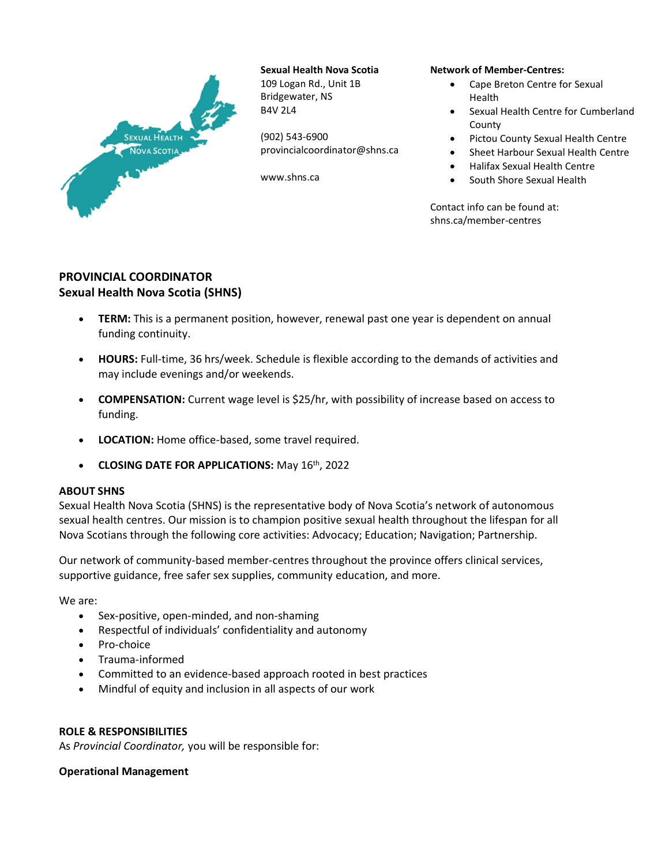

**Sexual Health Nova Scotia** 109 Logan Rd., Unit 1B Bridgewater, NS B4V 2L4

(902) 543-6900 provincialcoordinator@shns.ca

www.shns.ca

#### **Network of Member-Centres:**

- Cape Breton Centre for Sexual Health
- Sexual Health Centre for Cumberland County
- Pictou County Sexual Health Centre
- Sheet Harbour Sexual Health Centre
- Halifax Sexual Health Centre
- South Shore Sexual Health

Contact info can be found at: shns.ca/member-centres

# **PROVINCIAL COORDINATOR Sexual Health Nova Scotia (SHNS)**

- **TERM:** This is a permanent position, however, renewal past one year is dependent on annual funding continuity.
- **HOURS:** Full-time, 36 hrs/week. Schedule is flexible according to the demands of activities and may include evenings and/or weekends.
- **COMPENSATION:** Current wage level is \$25/hr, with possibility of increase based on access to funding.
- **LOCATION:** Home office-based, some travel required.
- **CLOSING DATE FOR APPLICATIONS:** May 16th, 2022

## **ABOUT SHNS**

Sexual Health Nova Scotia (SHNS) is the representative body of Nova Scotia's network of autonomous sexual health centres. Our mission is to champion positive sexual health throughout the lifespan for all Nova Scotians through the following core activities: Advocacy; Education; Navigation; Partnership.

Our network of community-based member-centres throughout the province offers clinical services, supportive guidance, free safer sex supplies, community education, and more.

We are:

- Sex-positive, open-minded, and non-shaming
- Respectful of individuals' confidentiality and autonomy
- Pro-choice
- Trauma-informed
- Committed to an evidence-based approach rooted in best practices
- Mindful of equity and inclusion in all aspects of our work

## **ROLE & RESPONSIBILITIES**

As *Provincial Coordinator,* you will be responsible for:

## **Operational Management**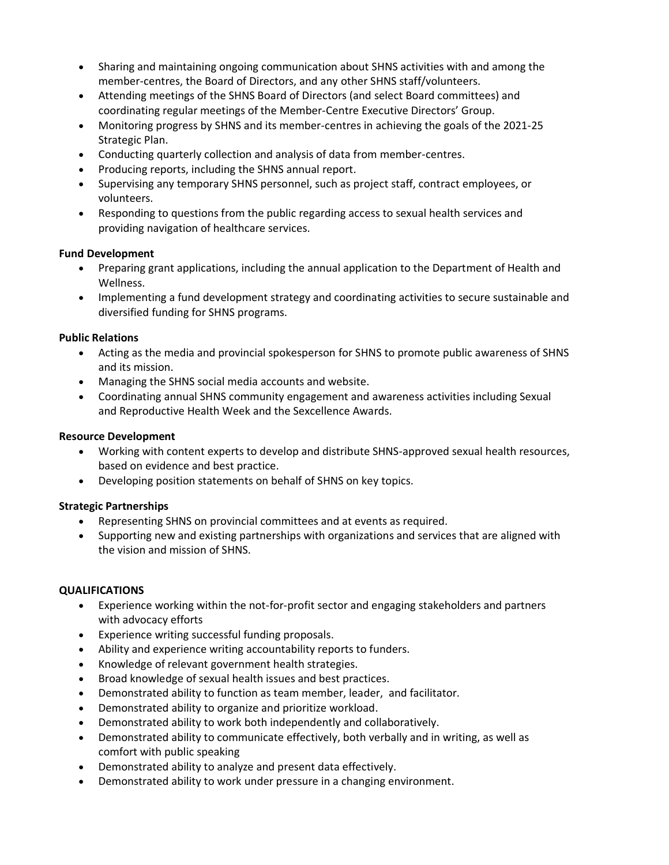- Sharing and maintaining ongoing communication about SHNS activities with and among the member-centres, the Board of Directors, and any other SHNS staff/volunteers.
- Attending meetings of the SHNS Board of Directors (and select Board committees) and coordinating regular meetings of the Member-Centre Executive Directors' Group.
- Monitoring progress by SHNS and its member-centres in achieving the goals of the 2021-25 Strategic Plan.
- Conducting quarterly collection and analysis of data from member-centres.
- Producing reports, including the SHNS annual report.
- Supervising any temporary SHNS personnel, such as project staff, contract employees, or volunteers.
- Responding to questions from the public regarding access to sexual health services and providing navigation of healthcare services.

#### **Fund Development**

- Preparing grant applications, including the annual application to the Department of Health and Wellness.
- Implementing a fund development strategy and coordinating activities to secure sustainable and diversified funding for SHNS programs.

#### **Public Relations**

- Acting as the media and provincial spokesperson for SHNS to promote public awareness of SHNS and its mission.
- Managing the SHNS social media accounts and website.
- Coordinating annual SHNS community engagement and awareness activities including Sexual and Reproductive Health Week and the Sexcellence Awards.

### **Resource Development**

- Working with content experts to develop and distribute SHNS-approved sexual health resources, based on evidence and best practice.
- Developing position statements on behalf of SHNS on key topics.

## **Strategic Partnerships**

- Representing SHNS on provincial committees and at events as required.
- Supporting new and existing partnerships with organizations and services that are aligned with the vision and mission of SHNS.

#### **QUALIFICATIONS**

- Experience working within the not-for-profit sector and engaging stakeholders and partners with advocacy efforts
- Experience writing successful funding proposals.
- Ability and experience writing accountability reports to funders.
- Knowledge of relevant government health strategies.
- Broad knowledge of sexual health issues and best practices.
- Demonstrated ability to function as team member, leader, and facilitator.
- Demonstrated ability to organize and prioritize workload.
- Demonstrated ability to work both independently and collaboratively.
- Demonstrated ability to communicate effectively, both verbally and in writing, as well as comfort with public speaking
- Demonstrated ability to analyze and present data effectively.
- Demonstrated ability to work under pressure in a changing environment.